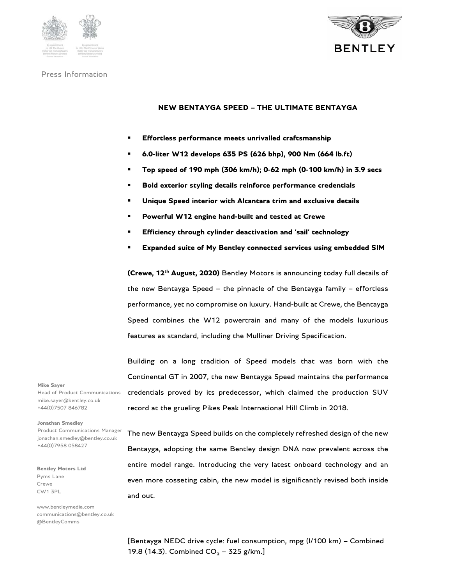



# **NEW BENTAYGA SPEED – THE ULTIMATE BENTAYGA**

- **Effortless performance meets unrivalled craftsmanship**
- **6.0-liter W12 develops 635 PS (626 bhp), 900 Nm (664 lb.ft)**
- **Top speed of 190 mph (306 km/h); 0-62 mph (0-100 km/h) in 3.9 secs**
- **Bold exterior styling details reinforce performance credentials**
- **Unique Speed interior with Alcantara trim and exclusive details**
- **Powerful W12 engine hand-built and tested at Crewe**
- **Efficiency through cylinder deactivation and 'sail' technology**
- **Expanded suite of My Bentley connected services using embedded SIM**

**(Crewe, 12<sup>th</sup> August, 2020)** Bentley Motors is announcing today full details of the new Bentayga Speed – the pinnacle of the Bentayga family – effortless performance, yet no compromise on luxury. Hand-built at Crewe, the Bentayga Speed combines the W12 powertrain and many of the models luxurious features as standard, including the Mulliner Driving Specification.

Building on a long tradition of Speed models that was born with the Continental GT in 2007, the new Bentayga Speed maintains the performance credentials proved by its predecessor, which claimed the production SUV record at the grueling Pikes Peak International Hill Climb in 2018.

### **Mike Sayer**

Head of Product Communications mike.sayer@bentley.co.uk +44(0)7507 846782

#### **Jonathan Smedley**

Product Communications Manager jonathan.smedley@bentley.co.uk +44(0)7958 058427

**Bentley Motors Ltd**  Pyms Lane Crewe CW1 3PL

www.bentleymedia.com communications@bentley.co.uk @BentleyComms

The new Bentayga Speed builds on the completely refreshed design of the new Bentayga, adopting the same Bentley design DNA now prevalent across the entire model range. Introducing the very latest onboard technology and an even more cosseting cabin, the new model is significantly revised both inside and out.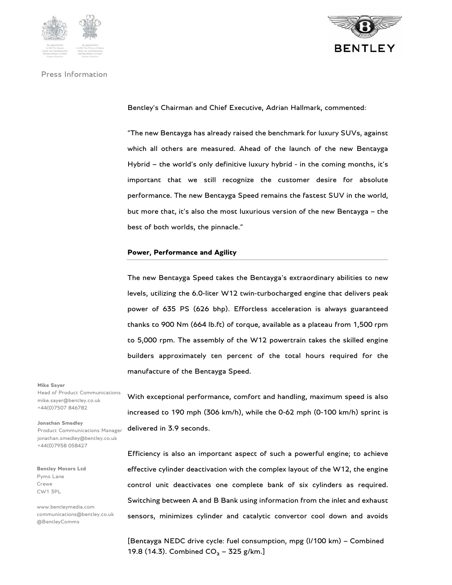





Bentley's Chairman and Chief Executive, Adrian Hallmark, commented:

"The new Bentayga has already raised the benchmark for luxury SUVs, against which all others are measured. Ahead of the launch of the new Bentayga Hybrid – the world's only definitive luxury hybrid - in the coming months, it's important that we still recognize the customer desire for absolute performance. The new Bentayga Speed remains the fastest SUV in the world, but more that, it's also the most luxurious version of the new Bentayga – the best of both worlds, the pinnacle."

### **Power, Performance and Agility**

The new Bentayga Speed takes the Bentayga's extraordinary abilities to new levels, utilizing the 6.0-liter W12 twin-turbocharged engine that delivers peak power of 635 PS (626 bhp). Effortless acceleration is always guaranteed thanks to 900 Nm (664 lb.ft) of torque, available as a plateau from 1,500 rpm to 5,000 rpm. The assembly of the W12 powertrain takes the skilled engine builders approximately ten percent of the total hours required for the manufacture of the Bentayga Speed.

#### **Mike Sayer**

Head of Product Communications mike.sayer@bentley.co.uk +44(0)7507 846782

#### **Jonathan Smedley**

Product Communications Manager jonathan.smedley@bentley.co.uk +44(0)7958 058427

**Bentley Motors Ltd**  Pyms Lane Crewe CW1 3PL

www.bentleymedia.com communications@bentley.co.uk @BentleyComms

With exceptional performance, comfort and handling, maximum speed is also increased to 190 mph (306 km/h), while the 0-62 mph (0-100 km/h) sprint is delivered in 3.9 seconds.

Efficiency is also an important aspect of such a powerful engine; to achieve effective cylinder deactivation with the complex layout of the W12, the engine control unit deactivates one complete bank of six cylinders as required. Switching between A and B Bank using information from the inlet and exhaust sensors, minimizes cylinder and catalytic convertor cool down and avoids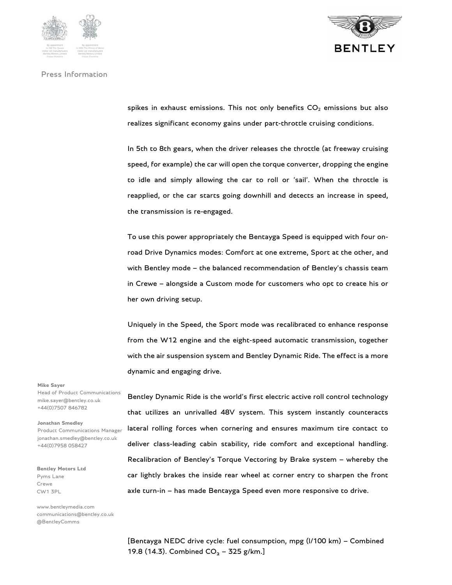





spikes in exhaust emissions. This not only benefits  $CO<sub>2</sub>$  emissions but also realizes significant economy gains under part-throttle cruising conditions.

In 5th to 8th gears, when the driver releases the throttle (at freeway cruising speed, for example) the car will open the torque converter, dropping the engine to idle and simply allowing the car to roll or 'sail'. When the throttle is reapplied, or the car starts going downhill and detects an increase in speed, the transmission is re-engaged.

To use this power appropriately the Bentayga Speed is equipped with four onroad Drive Dynamics modes: Comfort at one extreme, Sport at the other, and with Bentley mode – the balanced recommendation of Bentley's chassis team in Crewe – alongside a Custom mode for customers who opt to create his or her own driving setup.

Uniquely in the Speed, the Sport mode was recalibrated to enhance response from the W12 engine and the eight-speed automatic transmission, together with the air suspension system and Bentley Dynamic Ride. The effect is a more dynamic and engaging drive.

**Mike Sayer** 

Head of Product Communications mike.sayer@bentley.co.uk +44(0)7507 846782

**Jonathan Smedley** 

Product Communications Manager jonathan.smedley@bentley.co.uk +44(0)7958 058427

**Bentley Motors Ltd**  Pyms Lane Crewe CW1 3PL

www.bentleymedia.com communications@bentley.co.uk @BentleyComms

Bentley Dynamic Ride is the world's first electric active roll control technology that utilizes an unrivalled 48V system. This system instantly counteracts lateral rolling forces when cornering and ensures maximum tire contact to deliver class-leading cabin stability, ride comfort and exceptional handling. Recalibration of Bentley's Torque Vectoring by Brake system – whereby the car lightly brakes the inside rear wheel at corner entry to sharpen the front axle turn-in – has made Bentayga Speed even more responsive to drive.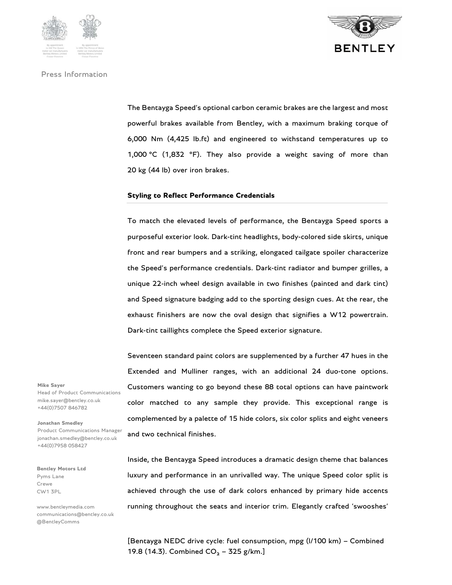



The Bentayga Speed's optional carbon ceramic brakes are the largest and most powerful brakes available from Bentley, with a maximum braking torque of 6,000 Nm (4,425 lb.ft) and engineered to withstand temperatures up to 1,000 °C (1,832 °F). They also provide a weight saving of more than 20 kg (44 lb) over iron brakes.

### **Styling to Reflect Performance Credentials**

To match the elevated levels of performance, the Bentayga Speed sports a purposeful exterior look. Dark-tint headlights, body-colored side skirts, unique front and rear bumpers and a striking, elongated tailgate spoiler characterize the Speed's performance credentials. Dark-tint radiator and bumper grilles, a unique 22-inch wheel design available in two finishes (painted and dark tint) and Speed signature badging add to the sporting design cues. At the rear, the exhaust finishers are now the oval design that signifies a W12 powertrain. Dark-tint taillights complete the Speed exterior signature.

Seventeen standard paint colors are supplemented by a further 47 hues in the Extended and Mulliner ranges, with an additional 24 duo-tone options. Customers wanting to go beyond these 88 total options can have paintwork color matched to any sample they provide. This exceptional range is complemented by a palette of 15 hide colors, six color splits and eight veneers and two technical finishes.

Inside, the Bentayga Speed introduces a dramatic design theme that balances luxury and performance in an unrivalled way. The unique Speed color split is achieved through the use of dark colors enhanced by primary hide accents running throughout the seats and interior trim. Elegantly crafted 'swooshes'

**Mike Sayer**  Head of Product Communications mike.sayer@bentley.co.uk +44(0)7507 846782

#### **Jonathan Smedley**

Product Communications Manager jonathan.smedley@bentley.co.uk +44(0)7958 058427

**Bentley Motors Ltd**  Pyms Lane Crewe CW1 3PL

www.bentleymedia.com communications@bentley.co.uk @BentleyComms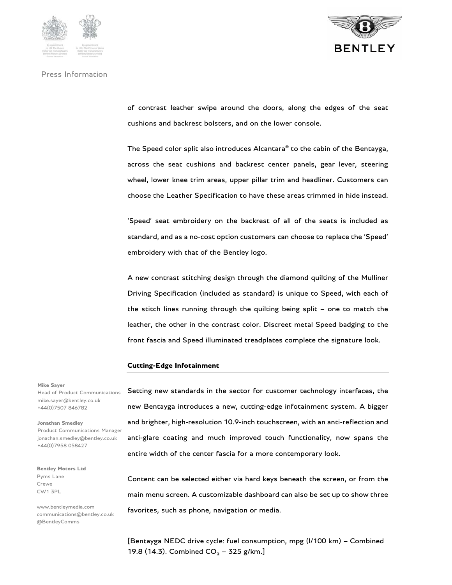





of contrast leather swipe around the doors, along the edges of the seat cushions and backrest bolsters, and on the lower console.

The Speed color split also introduces Alcantara® to the cabin of the Bentayga, across the seat cushions and backrest center panels, gear lever, steering wheel, lower knee trim areas, upper pillar trim and headliner. Customers can choose the Leather Specification to have these areas trimmed in hide instead.

'Speed' seat embroidery on the backrest of all of the seats is included as standard, and as a no-cost option customers can choose to replace the 'Speed' embroidery with that of the Bentley logo.

A new contrast stitching design through the diamond quilting of the Mulliner Driving Specification (included as standard) is unique to Speed, with each of the stitch lines running through the quilting being split – one to match the leather, the other in the contrast color. Discreet metal Speed badging to the front fascia and Speed illuminated treadplates complete the signature look.

### **Cutting-Edge Infotainment**

#### **Mike Sayer**

Head of Product Communications mike.sayer@bentley.co.uk +44(0)7507 846782

### **Jonathan Smedley**

Product Communications Manager jonathan.smedley@bentley.co.uk +44(0)7958 058427

**Bentley Motors Ltd**  Pyms Lane Crewe CW1 3PL

www.bentleymedia.com communications@bentley.co.uk @BentleyComms

Setting new standards in the sector for customer technology interfaces, the new Bentayga introduces a new, cutting-edge infotainment system. A bigger and brighter, high-resolution 10.9-inch touchscreen, with an anti-reflection and anti-glare coating and much improved touch functionality, now spans the entire width of the center fascia for a more contemporary look.

Content can be selected either via hard keys beneath the screen, or from the main menu screen. A customizable dashboard can also be set up to show three favorites, such as phone, navigation or media.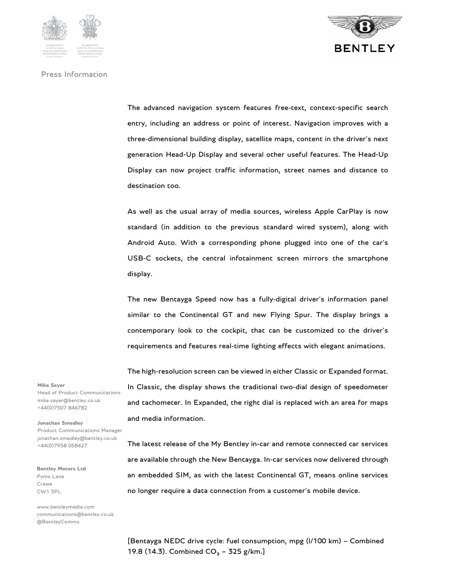

The advanced navigation system features free-text, context-specific search entry, including an address or point of interest. Navigation improves with a three-dimensional building display, satellite maps, content in the driver's next generation Head-Up Display and several other useful features. The Head-Up Display can now project traffic information, street names and distance to destination too.

As well as the usual array of media sources, wireless Apple CarPlay is now standard (in addition to the previous standard wired system), along with Android Auto. With a corresponding phone plugged into one of the car's USB-C sockets, the central infotainment screen mirrors the smartphone display.

The new Bentayga Speed now has a fully-digital driver's information panel similar to the Continental GT and new Flying Spur. The display brings a contemporary look to the cockpit, that can be customized to the driver's requirements and features real-time lighting effects with elegant animations.

The high-resolution screen can be viewed in either Classic or Expanded format. In Classic, the display shows the traditional two-dial design of speedometer and tachometer. In Expanded, the right dial is replaced with an area for maps and media information.

**Mike Sayer**  Head of Product Communications mike.sayer@bentley.co.uk +44(0)7507 846782

**Jonathan Smedley**  Product Communications Manager jonathan.smedley@bentley.co.uk +44(0)7958 058427

**Bentley Motors Ltd**  Pyms Lane Crewe CW1 3PL

www.bentleymedia.com communications@bentley.co.uk @BentleyComms

The latest release of the My Bentley in-car and remote connected car services are available through the New Bentayga. In-car services now delivered through an embedded SIM, as with the latest Continental GT, means online services no longer require a data connection from a customer's mobile device.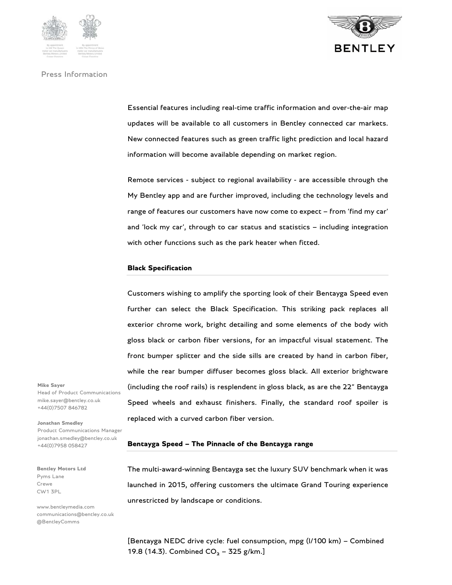



Essential features including real-time traffic information and over-the-air map updates will be available to all customers in Bentley connected car markets. New connected features such as green traffic light prediction and local hazard information will become available depending on market region.

Remote services - subject to regional availability - are accessible through the My Bentley app and are further improved, including the technology levels and range of features our customers have now come to expect – from 'find my car' and 'lock my car', through to car status and statistics – including integration with other functions such as the park heater when fitted.

## **Black Specification**

Customers wishing to amplify the sporting look of their Bentayga Speed even further can select the Black Specification. This striking pack replaces all exterior chrome work, bright detailing and some elements of the body with gloss black or carbon fiber versions, for an impactful visual statement. The front bumper splitter and the side sills are created by hand in carbon fiber, while the rear bumper diffuser becomes gloss black. All exterior brightware (including the roof rails) is resplendent in gloss black, as are the 22" Bentayga Speed wheels and exhaust finishers. Finally, the standard roof spoiler is replaced with a curved carbon fiber version.

**Mike Sayer**  Head of Product Communications mike.sayer@bentley.co.uk +44(0)7507 846782

**Jonathan Smedley**  Product Communications Manager jonathan.smedley@bentley.co.uk +44(0)7958 058427

**Bentley Motors Ltd**  Pyms Lane Crewe CW1 3PL

www.bentleymedia.com communications@bentley.co.uk @BentleyComms

# **Bentayga Speed – The Pinnacle of the Bentayga range**

The multi-award-winning Bentayga set the luxury SUV benchmark when it was launched in 2015, offering customers the ultimate Grand Touring experience unrestricted by landscape or conditions.